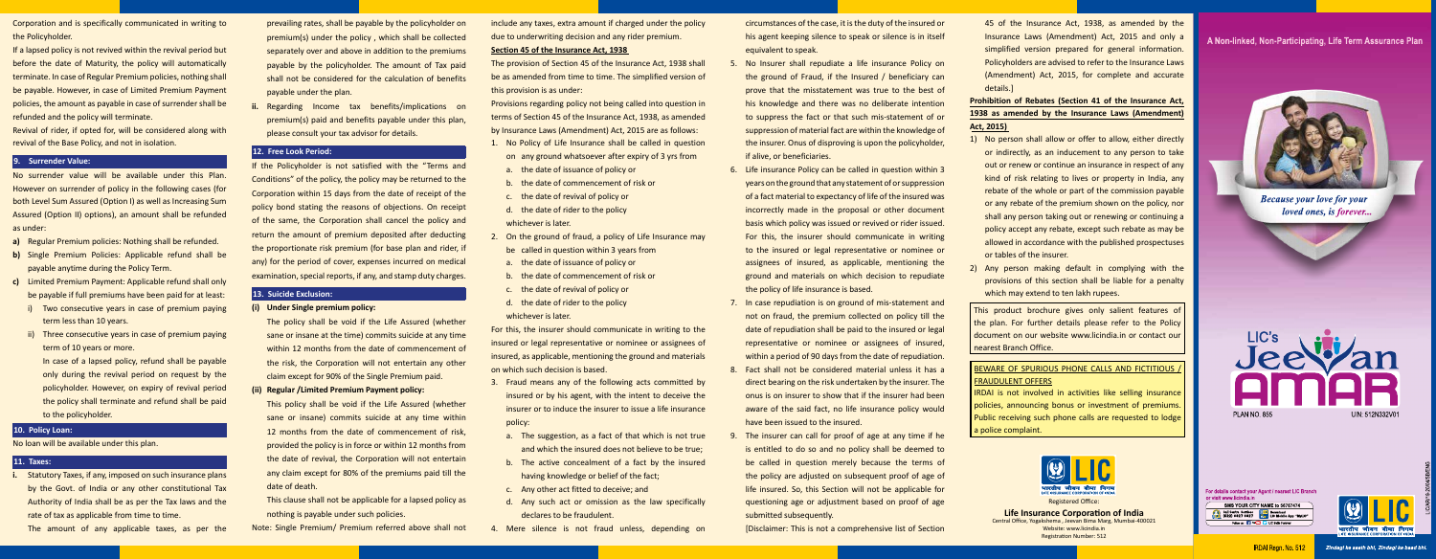45 of the Insurance Act, 1938, as amended by the Insurance Laws (Amendment) Act, 2015 and only a simplified version prepared for general information. Policyholders are advised to refer to the Insurance Laws (Amendment) Act, 2015, for complete and accurate details.]

- 1) No person shall allow or offer to allow, either directly or indirectly, as an inducement to any person to take out or renew or continue an insurance in respect of any kind of risk relating to lives or property in India, any rebate of the whole or part of the commission payable or any rebate of the premium shown on the policy, nor shall any person taking out or renewing or continuing a policy accept any rebate, except such rebate as may be allowed in accordance with the published prospectuses or tables of the insurer.
- 2) Any person making default in complying with the provisions of this section shall be liable for a penalty which may extend to ten lakh rupees.

# **Prohibition of Rebates (Section 41 of the Insurance Act, 1938 as amended by the Insurance Laws (Amendment) Act, 2015)**

# BEWARE OF SPURIOUS PHONE CALLS AND FICTITIOUS FRAUDULENT OFFERS

This product brochure gives only salient features of the plan. For further details please refer to the Policy document on our website www.licindia.in or contact our nearest Branch Office.

IRDAI is not involved in activities like selling insurance policies, announcing bonus or investment of premiums. Public receiving such phone calls are requested to lodge a police complaint.

Corporation and is specifically communicated in writing to the Policyholder.

If a lapsed policy is not revived within the revival period but before the date of Maturity, the policy will automatically terminate. In case of Regular Premium policies, nothing shall be payable. However, in case of Limited Premium Payment policies, the amount as payable in case of surrender shall be refunded and the policy will terminate.

Revival of rider, if opted for, will be considered along with revival of the Base Policy, and not in isolation.

## **9. Surrender Value:**

No surrender value will be available under this Plan. However on surrender of policy in the following cases (for both Level Sum Assured (Option I) as well as Increasing Sum Assured (Option II) options), an amount shall be refunded as under:

- **a)** Regular Premium policies: Nothing shall be refunded.
- **b)** Single Premium Policies: Applicable refund shall be payable anytime during the Policy Term.
- **c)** Limited Premium Payment: Applicable refund shall only be payable if full premiums have been paid for at least:
	- i) Two consecutive years in case of premium paying term less than 10 years.
	- ii) Three consecutive years in case of premium paying term of 10 years or more.

 In case of a lapsed policy, refund shall be payable only during the revival period on request by the policyholder. However, on expiry of revival period the policy shall terminate and refund shall be paid to the policyholder.

## **10. Policy Loan:**

### No loan will be available under this plan.

### **11. Taxes:**

- **i.** Statutory Taxes, if any, imposed on such insurance plans by the Govt. of India or any other constitutional Tax Authority of India shall be as per the Tax laws and the rate of tax as applicable from time to time.
	- The amount of any applicable taxes, as per the
- prevailing rates, shall be payable by the policyholder on premium(s) under the policy , which shall be collected separately over and above in addition to the premiums payable by the policyholder. The amount of Tax paid shall not be considered for the calculation of benefits payable under the plan.
- **Regarding Income tax benefits/implications on** premium(s) paid and benefits payable under this plan, please consult your tax advisor for details.

No Insurer shall repudiate a life insurance Policy on the ground of Fraud, if the Insured / beneficiary can prove that the misstatement was true to the best of his knowledge and there was no deliberate intention to suppress the fact or that such mis-statement of or suppression of material fact are within the knowledge of the insurer. Onus of disproving is upon the policyholder,

# **12. Free Look Period:**

If the Policyholder is not satisfied with the "Terms and Conditions" of the policy, the policy may be returned to the Corporation within 15 days from the date of receipt of the policy bond stating the reasons of objections. On receipt of the same, the Corporation shall cancel the policy and return the amount of premium deposited after deducting the proportionate risk premium (for base plan and rider, if any) for the period of cover, expenses incurred on medical examination, special reports, if any, and stamp duty charges.

## **13. Suicide Exclusion:**

**(i) Under Single premium policy:** 

The insurer can call for proof of age at any time if he is entitled to do so and no policy shall be deemed to be called in question merely because the terms of the policy are adjusted on subsequent proof of age of life insured. So, this Section will not be applicable for questioning age or adjustment based on proof of age

 The policy shall be void if the Life Assured (whether sane or insane at the time) commits suicide at any time within 12 months from the date of commencement of the risk, the Corporation will not entertain any other claim except for 90% of the Single Premium paid.

**(ii) Regular /Limited Premium Payment policy:**

 This policy shall be void if the Life Assured (whether sane or insane) commits suicide at any time within 12 months from the date of commencement of risk, provided the policy is in force or within 12 months from the date of revival, the Corporation will not entertain any claim except for 80% of the premiums paid till the date of death.

 This clause shall not be applicable for a lapsed policy as nothing is payable under such policies.

Note: Single Premium/ Premium referred above shall not

include any taxes, extra amount if charged under the policy due to underwriting decision and any rider premium.

#### **Section 45 of the Insurance Act, 1938**

The provision of Section 45 of the Insurance Act, 1938 shall be as amended from time to time. The simplified version of this provision is as under:

Provisions regarding policy not being called into question in terms of Section 45 of the Insurance Act, 1938, as amended by Insurance Laws (Amendment) Act, 2015 are as follows:

- 1. No Policy of Life Insurance shall be called in question on any ground whatsoever after expiry of 3 yrs from
- a. the date of issuance of policy or
- b. the date of commencement of risk or
- c. the date of revival of policy or
- d. the date of rider to the policy
- whichever is later.
- 2. On the ground of fraud, a policy of Life Insurance may be called in question within 3 years from
- a. the date of issuance of policy or
- b. the date of commencement of risk or
- c. the date of revival of policy or
- d. the date of rider to the policy whichever is later.

For this, the insurer should communicate in writing to the insured or legal representative or nominee or assignees of insured, as applicable, mentioning the ground and materials on which such decision is based.

- 3. Fraud means any of the following acts committed by insured or by his agent, with the intent to deceive the insurer or to induce the insurer to issue a life insurance policy:
	- a. The suggestion, as a fact of that which is not true and which the insured does not believe to be true;
	- b. The active concealment of a fact by the insured having knowledge or belief of the fact;
- c. Any other act fitted to deceive; and
- d. Any such act or omission as the law specifically declares to be fraudulent.
- 4. Mere silence is not fraud unless, depending on

circumstances of the case, it is the duty of the insured or his agent keeping silence to speak or silence is in itself

6. Life insurance Policy can be called in question within 3 years on the ground that any statement of or suppression of a fact material to expectancy of life of the insured was incorrectly made in the proposal or other document basis which policy was issued or revived or rider issued. For this, the insurer should communicate in writing to the insured or legal representative or nominee or assignees of insured, as applicable, mentioning the ground and materials on which decision to repudiate the policy of life insurance is based.

- equivalent to speak.
- if alive, or beneficiaries.
- 
- 
- 
- submitted subsequently.

7. In case repudiation is on ground of mis-statement and not on fraud, the premium collected on policy till the date of repudiation shall be paid to the insured or legal representative or nominee or assignees of insured, within a period of 90 days from the date of repudiation. 8. Fact shall not be considered material unless it has a direct bearing on the risk undertaken by the insurer. The onus is on insurer to show that if the insurer had been aware of the said fact, no life insurance policy would have been issued to the insured.

[Disclaimer: This is not a comprehensive list of Section



**Life Insurance Corporation of India** 

Central Office, Yogakshema , Jeevan Bima Marg, Mumbai-400021 Website: www.licindia.in Registration Number: 512

# A Non-linked, Non-Participating, Life Term Assurance Plan



**Because your love for your** *loved ones, is forever...* 



For details contact your Agent / nearest LIC Branch or visit www.licindia.in